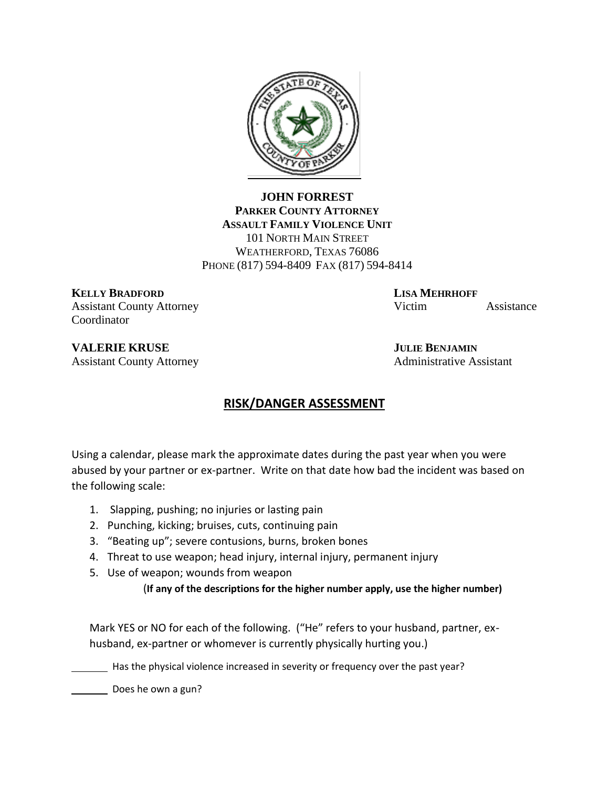

**JOHN FORREST PARKER COUNTY ATTORNEY ASSAULT FAMILY VIOLENCE UNIT** 101 NORTH MAIN STREET WEATHERFORD, TEXAS 76086 PHONE (817) 594-8409 FAX (817) 594-8414

**KELLY BRADFORD LISA MEHRHOFF** Coordinator

Assistant County Attorney Victim Assistance

**VALERIE KRUSE JULIE BENJAMIN** Assistant County Attorney **Administrative Assistant** 

## **RISK/DANGER ASSESSMENT**

Using a calendar, please mark the approximate dates during the past year when you were abused by your partner or ex-partner. Write on that date how bad the incident was based on the following scale:

- 1. Slapping, pushing; no injuries or lasting pain
- 2. Punching, kicking; bruises, cuts, continuing pain
- 3. "Beating up"; severe contusions, burns, broken bones
- 4. Threat to use weapon; head injury, internal injury, permanent injury
- 5. Use of weapon; wounds from weapon

(**If any of the descriptions for the higher number apply, use the higher number)**

Mark YES or NO for each of the following. ("He" refers to your husband, partner, exhusband, ex-partner or whomever is currently physically hurting you.)

Has the physical violence increased in severity or frequency over the past year?

Does he own a gun?